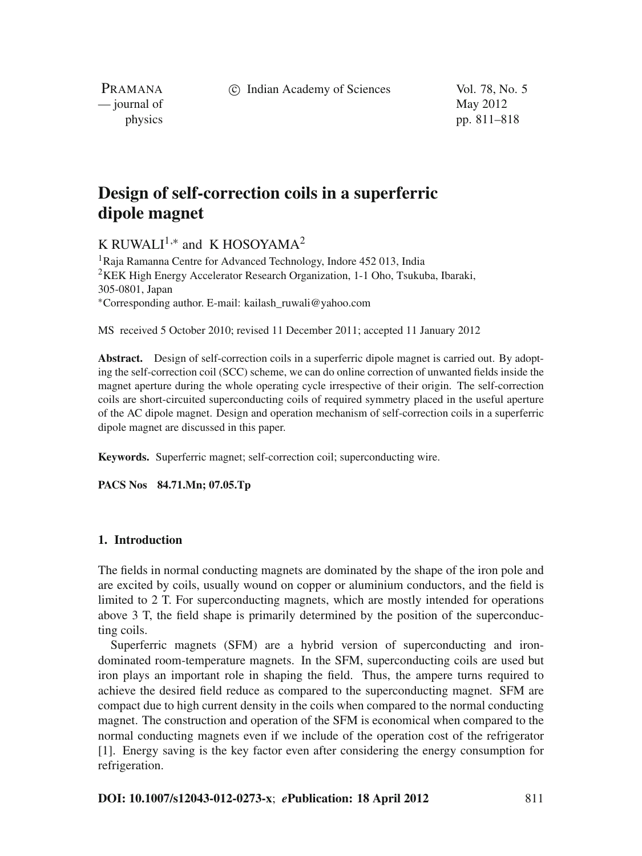c Indian Academy of Sciences Vol. 78, No. 5

PRAMANA  $\frac{1}{2}$  journal of May 2012

physics pp. 811–818

# **Design of self-correction coils in a superferric dipole magnet**

K RUWALI<sup>1,\*</sup> and K HOSOYAMA<sup>2</sup>

1Raja Ramanna Centre for Advanced Technology, Indore 452 013, India <sup>2</sup>KEK High Energy Accelerator Research Organization, 1-1 Oho, Tsukuba, Ibaraki, 305-0801, Japan <sup>∗</sup>Corresponding author. E-mail: kailash\_ruwali@yahoo.com

MS received 5 October 2010; revised 11 December 2011; accepted 11 January 2012

**Abstract.** Design of self-correction coils in a superferric dipole magnet is carried out. By adopting the self-correction coil (SCC) scheme, we can do online correction of unwanted fields inside the magnet aperture during the whole operating cycle irrespective of their origin. The self-correction coils are short-circuited superconducting coils of required symmetry placed in the useful aperture of the AC dipole magnet. Design and operation mechanism of self-correction coils in a superferric dipole magnet are discussed in this paper.

**Keywords.** Superferric magnet; self-correction coil; superconducting wire.

**PACS Nos 84.71.Mn; 07.05.Tp**

#### **1. Introduction**

The fields in normal conducting magnets are dominated by the shape of the iron pole and are excited by coils, usually wound on copper or aluminium conductors, and the field is limited to 2 T. For superconducting magnets, which are mostly intended for operations above 3 T, the field shape is primarily determined by the position of the superconducting coils.

Superferric magnets (SFM) are a hybrid version of superconducting and irondominated room-temperature magnets. In the SFM, superconducting coils are used but iron plays an important role in shaping the field. Thus, the ampere turns required to achieve the desired field reduce as compared to the superconducting magnet. SFM are compact due to high current density in the coils when compared to the normal conducting magnet. The construction and operation of the SFM is economical when compared to the normal conducting magnets even if we include of the operation cost of the refrigerator [1]. Energy saving is the key factor even after considering the energy consumption for refrigeration.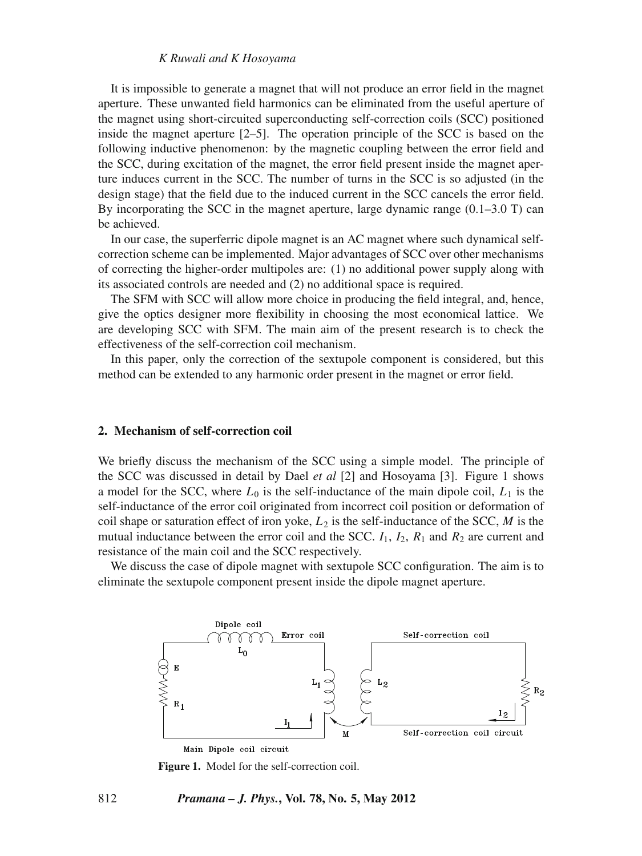# *K Ruwali and K Hosoyama*

It is impossible to generate a magnet that will not produce an error field in the magnet aperture. These unwanted field harmonics can be eliminated from the useful aperture of the magnet using short-circuited superconducting self-correction coils (SCC) positioned inside the magnet aperture [2–5]. The operation principle of the SCC is based on the following inductive phenomenon: by the magnetic coupling between the error field and the SCC, during excitation of the magnet, the error field present inside the magnet aperture induces current in the SCC. The number of turns in the SCC is so adjusted (in the design stage) that the field due to the induced current in the SCC cancels the error field. By incorporating the SCC in the magnet aperture, large dynamic range (0.1–3.0 T) can be achieved.

In our case, the superferric dipole magnet is an AC magnet where such dynamical selfcorrection scheme can be implemented. Major advantages of SCC over other mechanisms of correcting the higher-order multipoles are: (1) no additional power supply along with its associated controls are needed and (2) no additional space is required.

The SFM with SCC will allow more choice in producing the field integral, and, hence, give the optics designer more flexibility in choosing the most economical lattice. We are developing SCC with SFM. The main aim of the present research is to check the effectiveness of the self-correction coil mechanism.

In this paper, only the correction of the sextupole component is considered, but this method can be extended to any harmonic order present in the magnet or error field.

## **2. Mechanism of self-correction coil**

We briefly discuss the mechanism of the SCC using a simple model. The principle of the SCC was discussed in detail by Dael *et al* [2] and Hosoyama [3]. Figure 1 shows a model for the SCC, where  $L_0$  is the self-inductance of the main dipole coil,  $L_1$  is the self-inductance of the error coil originated from incorrect coil position or deformation of coil shape or saturation effect of iron yoke,  $L_2$  is the self-inductance of the SCC,  $M$  is the mutual inductance between the error coil and the SCC.  $I_1$ ,  $I_2$ ,  $R_1$  and  $R_2$  are current and resistance of the main coil and the SCC respectively.

We discuss the case of dipole magnet with sextupole SCC configuration. The aim is to eliminate the sextupole component present inside the dipole magnet aperture.



**Figure 1.** Model for the self-correction coil.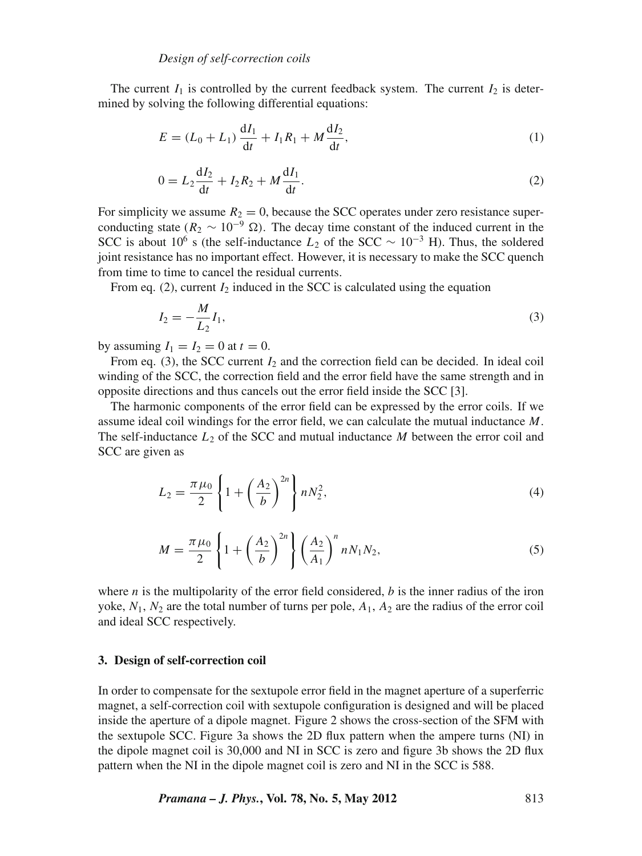The current  $I_1$  is controlled by the current feedback system. The current  $I_2$  is determined by solving the following differential equations:

$$
E = (L_0 + L_1) \frac{dI_1}{dt} + I_1 R_1 + M \frac{dI_2}{dt},
$$
\n(1)

$$
0 = L_2 \frac{dI_2}{dt} + I_2 R_2 + M \frac{dI_1}{dt}.
$$
 (2)

For simplicity we assume  $R_2 = 0$ , because the SCC operates under zero resistance superconducting state ( $R_2 \sim 10^{-9} \Omega$ ). The decay time constant of the induced current in the SCC is about 10<sup>6</sup> s (the self-inductance  $L_2$  of the SCC ~ 10<sup>-3</sup> H). Thus, the soldered joint resistance has no important effect. However, it is necessary to make the SCC quench from time to time to cancel the residual currents.

From eq.  $(2)$ , current  $I_2$  induced in the SCC is calculated using the equation

$$
I_2 = -\frac{M}{L_2} I_1,\tag{3}
$$

by assuming  $I_1 = I_2 = 0$  at  $t = 0$ .

From eq. (3), the SCC current  $I_2$  and the correction field can be decided. In ideal coil winding of the SCC, the correction field and the error field have the same strength and in opposite directions and thus cancels out the error field inside the SCC [3].

The harmonic components of the error field can be expressed by the error coils. If we assume ideal coil windings for the error field, we can calculate the mutual inductance *M*. The self-inductance  $L_2$  of the SCC and mutual inductance  $M$  between the error coil and SCC are given as

$$
L_2 = \frac{\pi \mu_0}{2} \left\{ 1 + \left(\frac{A_2}{b}\right)^{2n} \right\} n N_2^2,
$$
 (4)

$$
M = \frac{\pi \mu_0}{2} \left\{ 1 + \left(\frac{A_2}{b}\right)^{2n} \right\} \left(\frac{A_2}{A_1}\right)^n n N_1 N_2,
$$
 (5)

where  $n$  is the multipolarity of the error field considered,  $b$  is the inner radius of the iron yoke,  $N_1$ ,  $N_2$  are the total number of turns per pole,  $A_1$ ,  $A_2$  are the radius of the error coil and ideal SCC respectively.

#### **3. Design of self-correction coil**

In order to compensate for the sextupole error field in the magnet aperture of a superferric magnet, a self-correction coil with sextupole configuration is designed and will be placed inside the aperture of a dipole magnet. Figure 2 shows the cross-section of the SFM with the sextupole SCC. Figure 3a shows the 2D flux pattern when the ampere turns (NI) in the dipole magnet coil is 30,000 and NI in SCC is zero and figure 3b shows the 2D flux pattern when the NI in the dipole magnet coil is zero and NI in the SCC is 588.

*Pramana – J. Phys.***, Vol. 78, No. 5, May 2012** 813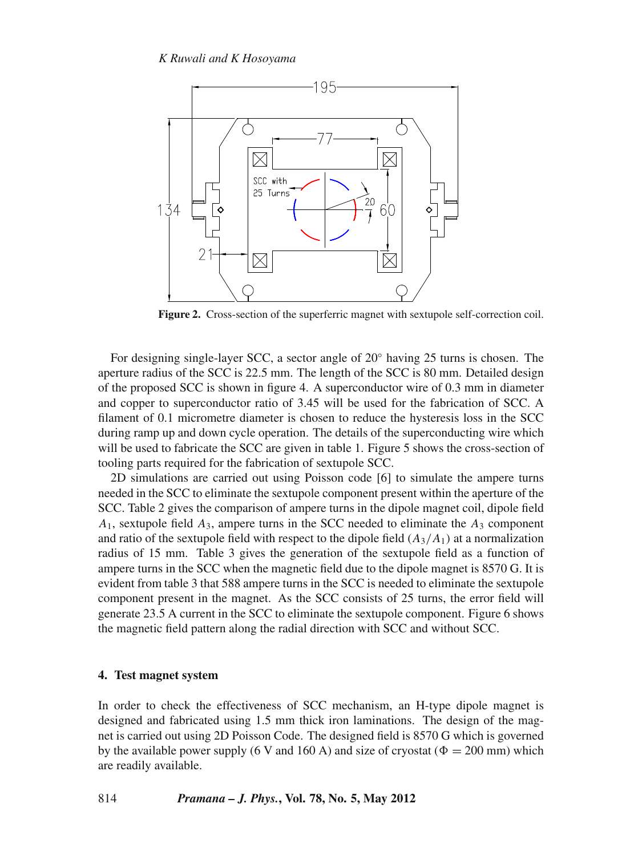

**Figure 2.** Cross-section of the superferric magnet with sextupole self-correction coil.

For designing single-layer SCC, a sector angle of 20◦ having 25 turns is chosen. The aperture radius of the SCC is 22.5 mm. The length of the SCC is 80 mm. Detailed design of the proposed SCC is shown in figure 4. A superconductor wire of 0.3 mm in diameter and copper to superconductor ratio of 3.45 will be used for the fabrication of SCC. A filament of 0.1 micrometre diameter is chosen to reduce the hysteresis loss in the SCC during ramp up and down cycle operation. The details of the superconducting wire which will be used to fabricate the SCC are given in table 1. Figure 5 shows the cross-section of tooling parts required for the fabrication of sextupole SCC.

2D simulations are carried out using Poisson code [6] to simulate the ampere turns needed in the SCC to eliminate the sextupole component present within the aperture of the SCC. Table 2 gives the comparison of ampere turns in the dipole magnet coil, dipole field  $A_1$ , sextupole field  $A_3$ , ampere turns in the SCC needed to eliminate the  $A_3$  component and ratio of the sextupole field with respect to the dipole field  $(A_3/A_1)$  at a normalization radius of 15 mm. Table 3 gives the generation of the sextupole field as a function of ampere turns in the SCC when the magnetic field due to the dipole magnet is 8570 G. It is evident from table 3 that 588 ampere turns in the SCC is needed to eliminate the sextupole component present in the magnet. As the SCC consists of 25 turns, the error field will generate 23.5 A current in the SCC to eliminate the sextupole component. Figure 6 shows the magnetic field pattern along the radial direction with SCC and without SCC.

#### **4. Test magnet system**

In order to check the effectiveness of SCC mechanism, an H-type dipole magnet is designed and fabricated using 1.5 mm thick iron laminations. The design of the magnet is carried out using 2D Poisson Code. The designed field is 8570 G which is governed by the available power supply (6 V and 160 A) and size of cryostat ( $\Phi = 200$  mm) which are readily available.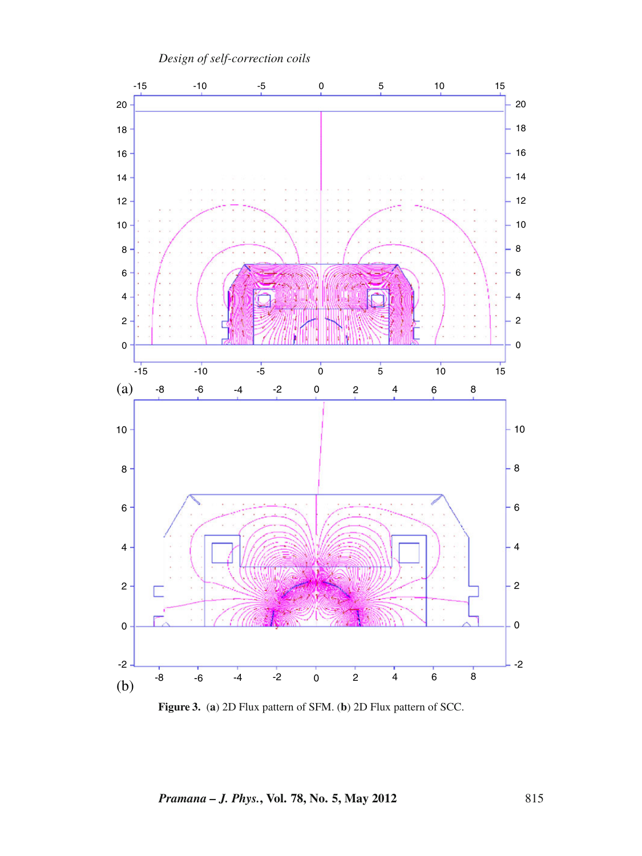

**Figure 3.** (**a**) 2D Flux pattern of SFM. (**b**) 2D Flux pattern of SCC.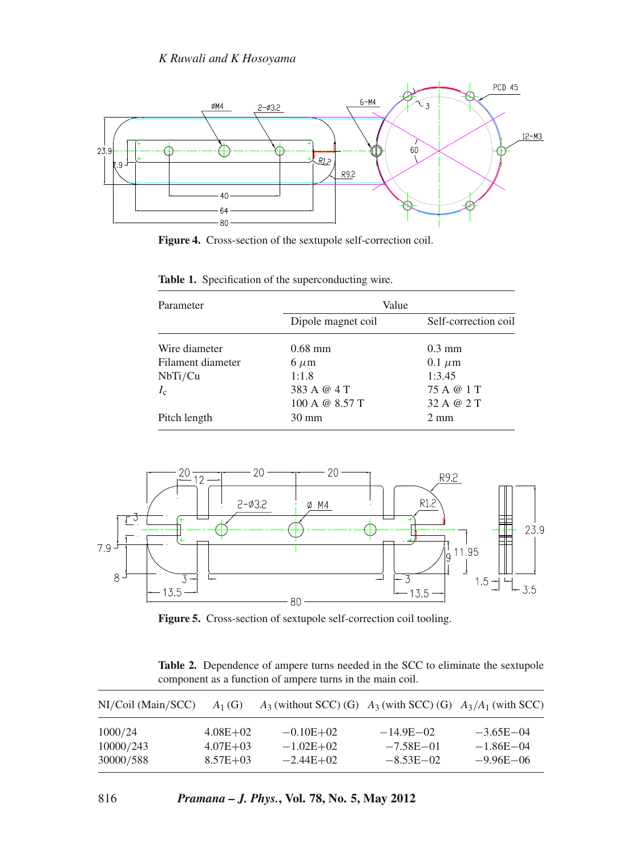

**Figure 4.** Cross-section of the sextupole self-correction coil.

| Parameter         | Value              |                      |  |
|-------------------|--------------------|----------------------|--|
|                   | Dipole magnet coil | Self-correction coil |  |
| Wire diameter     | $0.68$ mm          | $0.3 \text{ mm}$     |  |
| Filament diameter | $6 \mu m$          | $0.1 \mu m$          |  |
| NbTi/Cu           | 1:1.8              | 1:3.45               |  |
| $I_c$             | 383 A @ 4 T        | 75 A @ 1 T           |  |
|                   | 100 A @ $8.57$ T   | 32 A @ 2 T           |  |
| Pitch length      | 30 mm              | $2 \text{ mm}$       |  |

**Table 1.** Specification of the superconducting wire.



**Figure 5.** Cross-section of sextupole self-correction coil tooling.

**Table 2.** Dependence of ampere turns needed in the SCC to eliminate the sextupole component as a function of ampere turns in the main coil.

| NI/Coil (Main/SCC) | $A_1(G)$     | $A_3$ (without SCC) (G) $A_3$ (with SCC) (G) $A_3/A_1$ (with SCC) |               |               |
|--------------------|--------------|-------------------------------------------------------------------|---------------|---------------|
| 1000/24            | $4.08E + 02$ | $-0.10E + 02$                                                     | $-14.9E - 02$ | $-3.65E - 04$ |
| 10000/243          | $4.07E + 03$ | $-1.02E + 02$                                                     | $-7.58E - 01$ | $-1.86E - 04$ |
| 30000/588          | $8.57E + 03$ | $-2.44E+02$                                                       | $-8.53E - 02$ | $-9.96E - 06$ |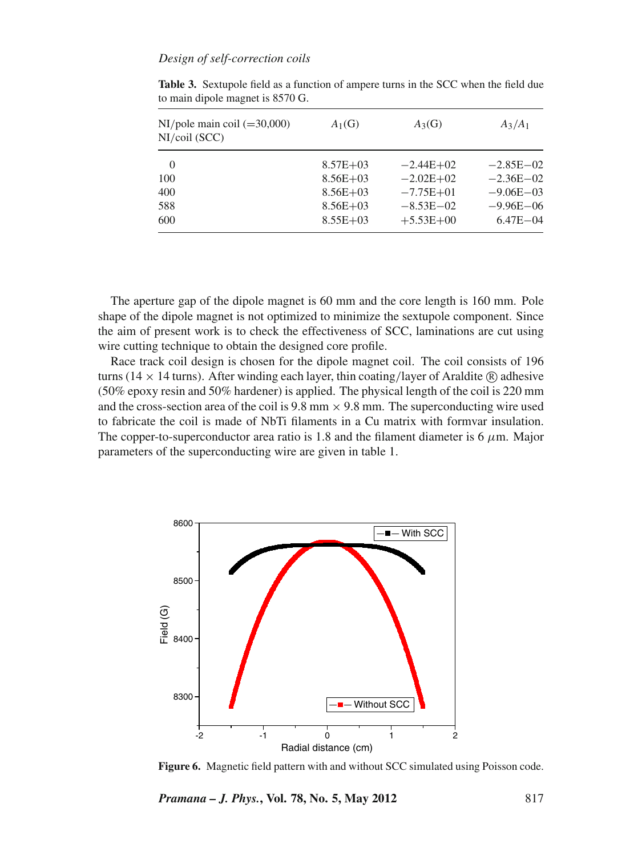# *Design of self-correction coils*

| $NI/pole$ main coil (=30,000)<br>$NI/coil$ (SCC) | $A_1(G)$     | $A_3(G)$      | $A_3/A_1$     |
|--------------------------------------------------|--------------|---------------|---------------|
| $\Omega$                                         | $8.57E + 03$ | $-2.44E+02$   | $-2.85E - 02$ |
| 100                                              | $8.56E + 03$ | $-2.02E + 02$ | $-2.36E - 02$ |
| 400                                              | $8.56E + 03$ | $-7.75E + 01$ | $-9.06E - 03$ |
| 588                                              | $8.56E + 03$ | $-8.53E - 02$ | $-9.96E - 06$ |
| 600                                              | $8.55E + 03$ | $+5.53E+00$   | $6.47E - 04$  |

**Table 3.** Sextupole field as a function of ampere turns in the SCC when the field due to main dipole magnet is 8570 G.

The aperture gap of the dipole magnet is 60 mm and the core length is 160 mm. Pole shape of the dipole magnet is not optimized to minimize the sextupole component. Since the aim of present work is to check the effectiveness of SCC, laminations are cut using wire cutting technique to obtain the designed core profile.

Race track coil design is chosen for the dipole magnet coil. The coil consists of 196 turns (14  $\times$  14 turns). After winding each layer, thin coating/layer of Araldite  $\circledR$  adhesive (50% epoxy resin and 50% hardener) is applied. The physical length of the coil is 220 mm and the cross-section area of the coil is  $9.8 \text{ mm} \times 9.8 \text{ mm}$ . The superconducting wire used to fabricate the coil is made of NbTi filaments in a Cu matrix with formvar insulation. The copper-to-superconductor area ratio is 1.8 and the filament diameter is 6  $\mu$ m. Major parameters of the superconducting wire are given in table 1.



**Figure 6.** Magnetic field pattern with and without SCC simulated using Poisson code.

*Pramana – J. Phys.***, Vol. 78, No. 5, May 2012** 817